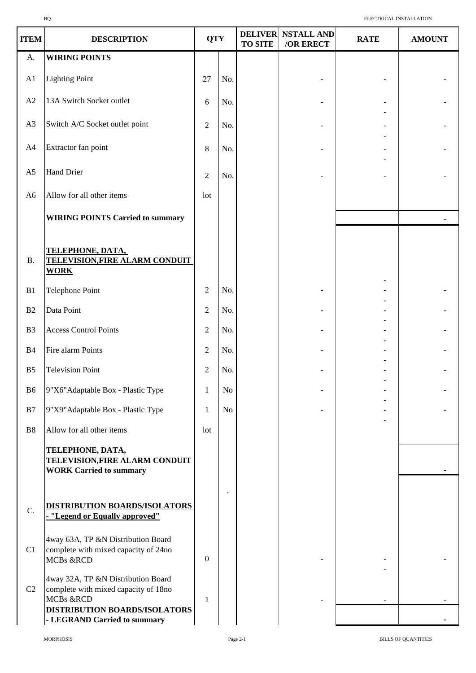| <b>ITEM</b>    | <b>DESCRIPTION</b>                                                                      | <b>QTY</b>       |                | <b>DELIVER</b><br><b>TO SITE</b> | <b>NSTALL AND</b><br>/OR ERECT | <b>RATE</b> | <b>AMOUNT</b> |
|----------------|-----------------------------------------------------------------------------------------|------------------|----------------|----------------------------------|--------------------------------|-------------|---------------|
| A.             | <b>WIRING POINTS</b>                                                                    |                  |                |                                  |                                |             |               |
| A1             | <b>Lighting Point</b>                                                                   | 27               | No.            |                                  |                                |             |               |
| A2             | 13A Switch Socket outlet                                                                | 6                | No.            |                                  |                                |             |               |
| A3             | Switch A/C Socket outlet point                                                          | $\overline{2}$   | No.            |                                  |                                |             |               |
| A4             | Extractor fan point                                                                     | $8\,$            | No.            |                                  |                                |             |               |
| A <sub>5</sub> | <b>Hand Drier</b>                                                                       | $\overline{2}$   | No.            |                                  |                                |             |               |
| A <sub>6</sub> | Allow for all other items                                                               | lot              |                |                                  |                                |             |               |
|                | <b>WIRING POINTS Carried to summary</b>                                                 |                  |                |                                  |                                |             |               |
| <b>B.</b>      | <b>TELEPHONE, DATA,</b><br><b>TELEVISION, FIRE ALARM CONDUIT</b><br><b>WORK</b>         |                  |                |                                  |                                |             |               |
| B1             | Telephone Point                                                                         | $\overline{2}$   | No.            |                                  |                                |             |               |
| B2             | Data Point                                                                              | $\overline{2}$   | No.            |                                  |                                |             |               |
| B <sub>3</sub> | <b>Access Control Points</b>                                                            | $\overline{2}$   | No.            |                                  |                                |             |               |
| <b>B4</b>      | Fire alarm Points                                                                       | $\sqrt{2}$       | No.            |                                  |                                |             |               |
| B <sub>5</sub> | <b>Television Point</b>                                                                 | $\sqrt{2}$       | No.            |                                  |                                |             |               |
| B <sub>6</sub> | 9"X6"Adaptable Box - Plastic Type                                                       | 1                | No             |                                  |                                |             |               |
| B7             | 9"X9" Adaptable Box - Plastic Type                                                      | 1                | N <sub>o</sub> |                                  |                                |             |               |
| ${\bf B8}$     | Allow for all other items                                                               | lot              |                |                                  |                                |             |               |
|                | TELEPHONE, DATA,<br>TELEVISION, FIRE ALARM CONDUIT<br><b>WORK Carried to summary</b>    |                  |                |                                  |                                |             |               |
| C.             | <b>DISTRIBUTION BOARDS/ISOLATORS</b><br>- "Legend or Equally approved"                  |                  |                |                                  |                                |             |               |
| C1             | 4way 63A, TP &N Distribution Board<br>complete with mixed capacity of 24no<br>MCBs &RCD | $\boldsymbol{0}$ |                |                                  |                                |             |               |
| C <sub>2</sub> | 4way 32A, TP &N Distribution Board<br>complete with mixed capacity of 18no<br>MCBs &RCD | 1                |                |                                  |                                |             |               |
|                | DISTRIBUTION BOARDS/ISOLATORS<br>- LEGRAND Carried to summary                           |                  |                |                                  |                                |             |               |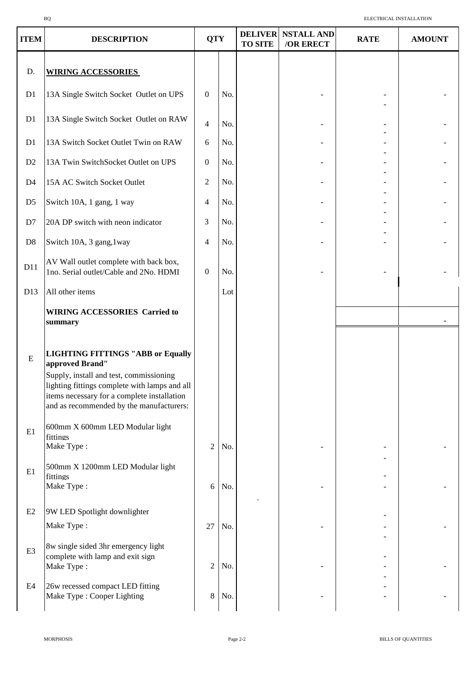| <b>ITEM</b>    | <b>DESCRIPTION</b>                                                                                                                                                                                                                                 | <b>QTY</b>       |     | <b>DELIVER</b><br><b>TO SITE</b> | <b>NSTALL AND</b><br>/OR ERECT | <b>RATE</b> | <b>AMOUNT</b> |
|----------------|----------------------------------------------------------------------------------------------------------------------------------------------------------------------------------------------------------------------------------------------------|------------------|-----|----------------------------------|--------------------------------|-------------|---------------|
| D.             | <b>WIRING ACCESSORIES</b>                                                                                                                                                                                                                          |                  |     |                                  |                                |             |               |
| D1             | 13A Single Switch Socket Outlet on UPS                                                                                                                                                                                                             | $\mathbf{0}$     | No. |                                  |                                |             |               |
| D1             | 13A Single Switch Socket Outlet on RAW                                                                                                                                                                                                             | $\overline{4}$   | No. |                                  |                                |             |               |
| D1             | 13A Switch Socket Outlet Twin on RAW                                                                                                                                                                                                               | 6                | No. |                                  |                                |             |               |
| D2             | 13A Twin SwitchSocket Outlet on UPS                                                                                                                                                                                                                | $\mathbf{0}$     | No. |                                  |                                |             |               |
| D <sub>4</sub> | 15A AC Switch Socket Outlet                                                                                                                                                                                                                        | $\overline{2}$   | No. |                                  |                                |             |               |
| D <sub>5</sub> | Switch 10A, 1 gang, 1 way                                                                                                                                                                                                                          | $\overline{4}$   | No. |                                  |                                |             |               |
| D7             | 20A DP switch with neon indicator                                                                                                                                                                                                                  | 3                | No. |                                  |                                |             |               |
| D <sub>8</sub> | Switch 10A, 3 gang, 1way                                                                                                                                                                                                                           | $\overline{4}$   | No. |                                  |                                |             |               |
| D11            | AV Wall outlet complete with back box,<br>1no. Serial outlet/Cable and 2No. HDMI                                                                                                                                                                   | $\boldsymbol{0}$ | No. |                                  |                                |             |               |
| D13            | All other items                                                                                                                                                                                                                                    |                  | Lot |                                  |                                |             |               |
|                | <b>WIRING ACCESSORIES Carried to</b><br>summary                                                                                                                                                                                                    |                  |     |                                  |                                |             |               |
| ${\bf E}$      | <b>LIGHTING FITTINGS "ABB or Equally</b><br>approved Brand"<br>Supply, install and test, commissioning<br>lighting fittings complete with lamps and all<br>items necessary for a complete installation<br>and as recommended by the manufacturers: |                  |     |                                  |                                |             |               |
| E1             | 600mm X 600mm LED Modular light<br>fittings<br>Make Type:                                                                                                                                                                                          | $\overline{2}$   | No. |                                  |                                |             |               |
| E1             | 500mm X 1200mm LED Modular light<br>fittings<br>Make Type:                                                                                                                                                                                         | 6                | No. |                                  |                                |             |               |
| E2             | 9W LED Spotlight downlighter                                                                                                                                                                                                                       |                  |     |                                  |                                |             |               |
|                | Make Type:                                                                                                                                                                                                                                         | 27               | No. |                                  |                                |             |               |
| E <sub>3</sub> | 8w single sided 3hr emergency light<br>complete with lamp and exit sign<br>Make Type:                                                                                                                                                              | $\overline{2}$   | No. |                                  |                                |             |               |
| E4             | 26w recessed compact LED fitting<br>Make Type : Cooper Lighting                                                                                                                                                                                    | 8                | No. |                                  |                                |             |               |